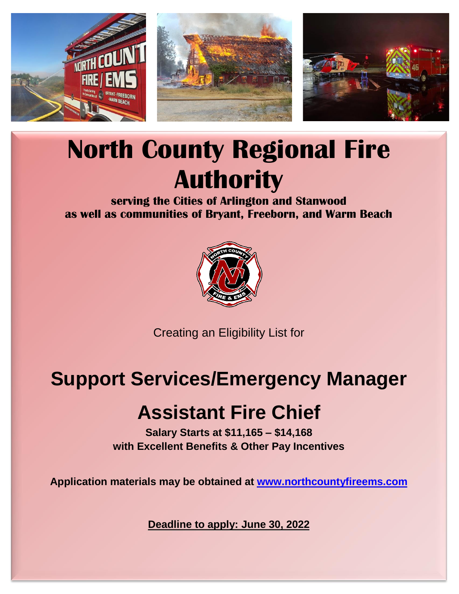

# **North County Regional Fire Authority**

**serving the Cities of Arlington and Stanwood as well as communities of Bryant, Freeborn, and Warm Beach**



Creating an Eligibility List for

### **Support Services/Emergency Manager**

## **Assistant Fire Chief**

**Salary Starts at \$11,165 – \$14,168 with Excellent Benefits & Other Pay Incentives**

**Application materials may be obtained at [www.northcountyfireems.com](http://www.northcountyfireems.com/)**

**Deadline to apply: June 30, 2022**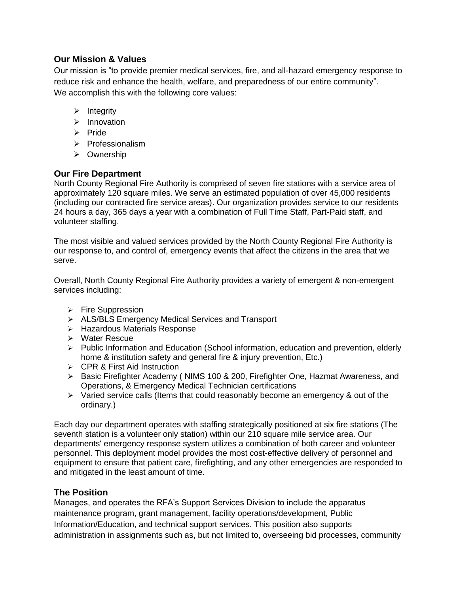#### **Our Mission & Values**

Our mission is "to provide premier medical services, fire, and all-hazard emergency response to reduce risk and enhance the health, welfare, and preparedness of our entire community". We accomplish this with the following core values:

- ➢ Integrity
- ➢ Innovation
- ➢ Pride
- ➢ Professionalism
- ➢ Ownership

#### **Our Fire Department**

North County Regional Fire Authority is comprised of seven fire stations with a service area of approximately 120 square miles. We serve an estimated population of over 45,000 residents (including our contracted fire service areas). Our organization provides service to our residents 24 hours a day, 365 days a year with a combination of Full Time Staff, Part-Paid staff, and volunteer staffing.

The most visible and valued services provided by the North County Regional Fire Authority is our response to, and control of, emergency events that affect the citizens in the area that we serve.

Overall, North County Regional Fire Authority provides a variety of emergent & non-emergent services including:

- ➢ Fire Suppression
- ➢ ALS/BLS Emergency Medical Services and Transport
- ➢ Hazardous Materials Response
- ➢ Water Rescue
- ➢ Public Information and Education (School information, education and prevention, elderly home & institution safety and general fire & injury prevention, Etc.)
- ➢ CPR & First Aid Instruction
- ➢ Basic Firefighter Academy ( NIMS 100 & 200, Firefighter One, Hazmat Awareness, and Operations, & Emergency Medical Technician certifications
- $\triangleright$  Varied service calls (Items that could reasonably become an emergency & out of the ordinary.)

Each day our department operates with staffing strategically positioned at six fire stations (The seventh station is a volunteer only station) within our 210 square mile service area. Our departments' emergency response system utilizes a combination of both career and volunteer personnel. This deployment model provides the most cost-effective delivery of personnel and equipment to ensure that patient care, firefighting, and any other emergencies are responded to and mitigated in the least amount of time.

#### **The Position**

Manages, and operates the RFA's Support Services Division to include the apparatus maintenance program, grant management, facility operations/development, Public Information/Education, and technical support services. This position also supports administration in assignments such as, but not limited to, overseeing bid processes, community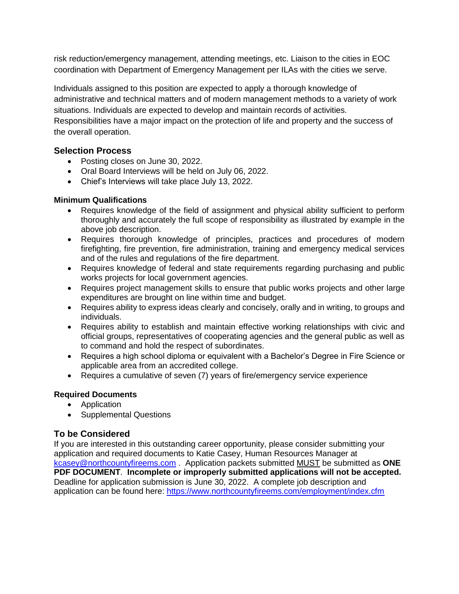risk reduction/emergency management, attending meetings, etc. Liaison to the cities in EOC coordination with Department of Emergency Management per ILAs with the cities we serve.

Individuals assigned to this position are expected to apply a thorough knowledge of administrative and technical matters and of modern management methods to a variety of work situations. Individuals are expected to develop and maintain records of activities.

Responsibilities have a major impact on the protection of life and property and the success of the overall operation.

#### **Selection Process**

- Posting closes on June 30, 2022.
- Oral Board Interviews will be held on July 06, 2022.
- Chief's Interviews will take place July 13, 2022.

#### **Minimum Qualifications**

- Requires knowledge of the field of assignment and physical ability sufficient to perform thoroughly and accurately the full scope of responsibility as illustrated by example in the above job description.
- Requires thorough knowledge of principles, practices and procedures of modern firefighting, fire prevention, fire administration, training and emergency medical services and of the rules and regulations of the fire department.
- Requires knowledge of federal and state requirements regarding purchasing and public works projects for local government agencies.
- Requires project management skills to ensure that public works projects and other large expenditures are brought on line within time and budget.
- Requires ability to express ideas clearly and concisely, orally and in writing, to groups and individuals.
- Requires ability to establish and maintain effective working relationships with civic and official groups, representatives of cooperating agencies and the general public as well as to command and hold the respect of subordinates.
- Requires a high school diploma or equivalent with a Bachelor's Degree in Fire Science or applicable area from an accredited college.
- Requires a cumulative of seven (7) years of fire/emergency service experience

#### **Required Documents**

- Application
- Supplemental Questions

#### **To be Considered**

If you are interested in this outstanding career opportunity, please consider submitting your application and required documents to Katie Casey, Human Resources Manager at [kcasey@northcountyfireems.com](mailto:kcasey@northcountyfireems.com) . Application packets submitted MUST be submitted as **ONE PDF DOCUMENT**. **Incomplete or improperly submitted applications will not be accepted.** Deadline for application submission is June 30, 2022. A complete job description and application can be found here: <https://www.northcountyfireems.com/employment/index.cfm>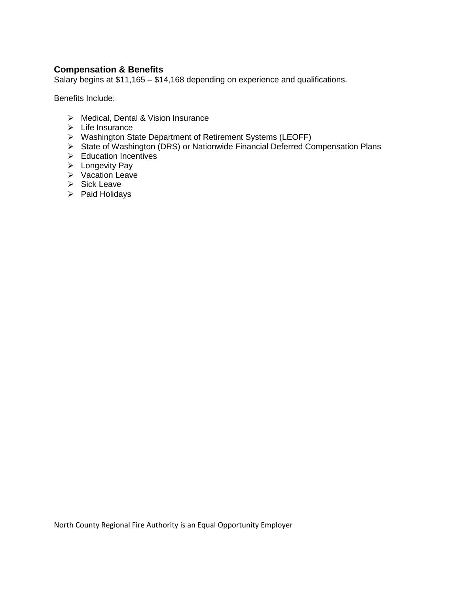#### **Compensation & Benefits**

Salary begins at \$11,165 – \$14,168 depending on experience and qualifications.

Benefits Include:

- ➢ Medical, Dental & Vision Insurance
- ➢ Life Insurance
- ➢ Washington State Department of Retirement Systems (LEOFF)
- ➢ State of Washington (DRS) or Nationwide Financial Deferred Compensation Plans
- ➢ Education Incentives
- ➢ Longevity Pay
- ➢ Vacation Leave
- ➢ Sick Leave
- ➢ Paid Holidays